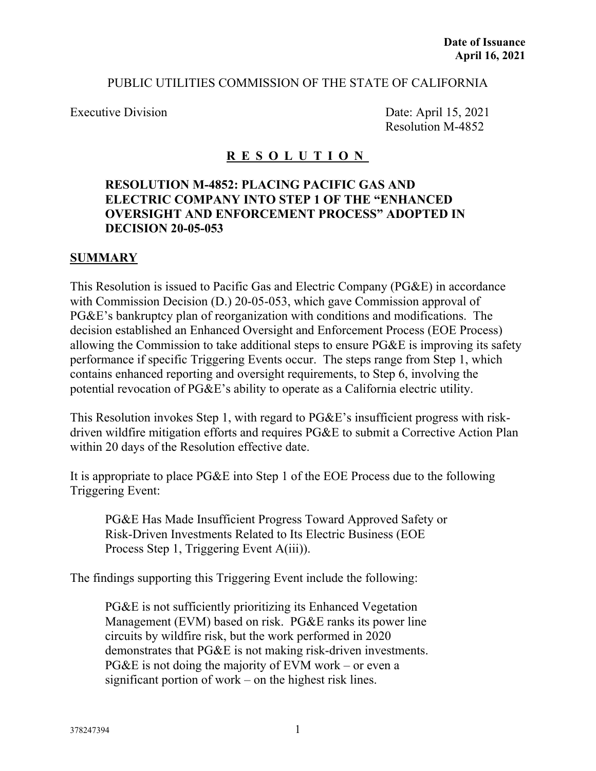#### PUBLIC UTILITIES COMMISSION OF THE STATE OF CALIFORNIA

Executive Division Date: April 15, 2021 Resolution M-4852

#### **R E S O L U T I O N**

#### **RESOLUTION M-4852: PLACING PACIFIC GAS AND ELECTRIC COMPANY INTO STEP 1 OF THE "ENHANCED OVERSIGHT AND ENFORCEMENT PROCESS" ADOPTED IN DECISION 20-05-053**

#### **SUMMARY**

This Resolution is issued to Pacific Gas and Electric Company (PG&E) in accordance with Commission Decision (D.) 20-05-053, which gave Commission approval of PG&E's bankruptcy plan of reorganization with conditions and modifications. The decision established an Enhanced Oversight and Enforcement Process (EOE Process) allowing the Commission to take additional steps to ensure PG&E is improving its safety performance if specific Triggering Events occur. The steps range from Step 1, which contains enhanced reporting and oversight requirements, to Step 6, involving the potential revocation of PG&E's ability to operate as a California electric utility.

This Resolution invokes Step 1, with regard to PG&E's insufficient progress with riskdriven wildfire mitigation efforts and requires PG&E to submit a Corrective Action Plan within 20 days of the Resolution effective date.

It is appropriate to place PG&E into Step 1 of the EOE Process due to the following Triggering Event:

PG&E Has Made Insufficient Progress Toward Approved Safety or Risk-Driven Investments Related to Its Electric Business (EOE Process Step 1, Triggering Event A(iii)).

The findings supporting this Triggering Event include the following:

PG&E is not sufficiently prioritizing its Enhanced Vegetation Management (EVM) based on risk. PG&E ranks its power line circuits by wildfire risk, but the work performed in 2020 demonstrates that PG&E is not making risk-driven investments. PG&E is not doing the majority of EVM work – or even a significant portion of work – on the highest risk lines.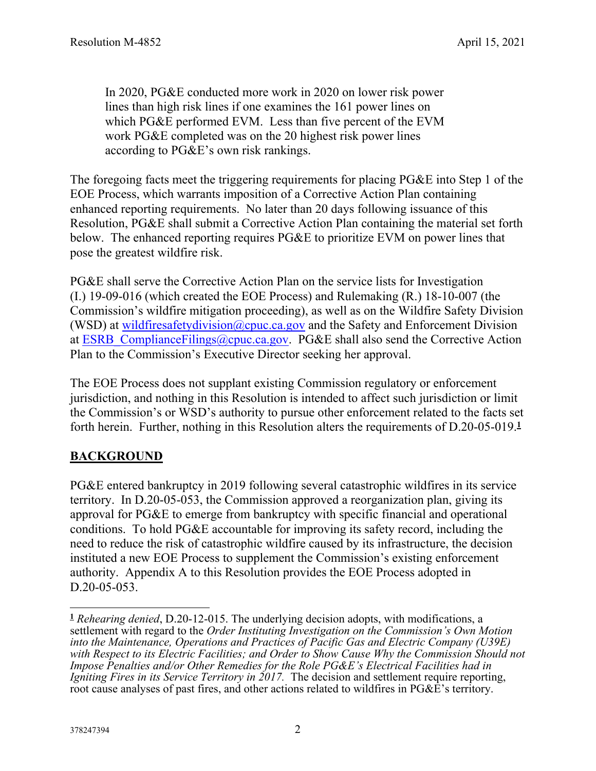In 2020, PG&E conducted more work in 2020 on lower risk power lines than high risk lines if one examines the 161 power lines on which PG&E performed EVM. Less than five percent of the EVM work PG&E completed was on the 20 highest risk power lines according to PG&E's own risk rankings.

The foregoing facts meet the triggering requirements for placing PG&E into Step 1 of the EOE Process, which warrants imposition of a Corrective Action Plan containing enhanced reporting requirements. No later than 20 days following issuance of this Resolution, PG&E shall submit a Corrective Action Plan containing the material set forth below. The enhanced reporting requires PG&E to prioritize EVM on power lines that pose the greatest wildfire risk.

PG&E shall serve the Corrective Action Plan on the service lists for Investigation (I.) 19-09-016 (which created the EOE Process) and Rulemaking (R.) 18-10-007 (the Commission's wildfire mitigation proceeding), as well as on the Wildfire Safety Division (WSD) at [wildfiresafetydivision@cpuc.ca.gov](mailto:wildfiresafetydivision@cpuc.ca.gov) and the Safety and Enforcement Division at ESRB ComplianceFilings@cpuc.ca.gov. PG&E shall also send the Corrective Action Plan to the Commission's Executive Director seeking her approval.

The EOE Process does not supplant existing Commission regulatory or enforcement jurisdiction, and nothing in this Resolution is intended to affect such jurisdiction or limit the Commission's or WSD's authority to pursue other enforcement related to the facts set forth herein. Further, nothing in this Resolution alters the requirements of D.20-05-019.**<sup>1</sup>**

## **BACKGROUND**

PG&E entered bankruptcy in 2019 following several catastrophic wildfires in its service territory. In D.20-05-053, the Commission approved a reorganization plan, giving its approval for PG&E to emerge from bankruptcy with specific financial and operational conditions. To hold PG&E accountable for improving its safety record, including the need to reduce the risk of catastrophic wildfire caused by its infrastructure, the decision instituted a new EOE Process to supplement the Commission's existing enforcement authority. Appendix A to this Resolution provides the EOE Process adopted in D.20-05-053.

**<sup>1</sup>** *Rehearing denied*, D.20-12-015. The underlying decision adopts, with modifications, a settlement with regard to the *Order Instituting Investigation on the Commission's Own Motion into the Maintenance, Operations and Practices of Pacific Gas and Electric Company (U39E) with Respect to its Electric Facilities; and Order to Show Cause Why the Commission Should not Impose Penalties and/or Other Remedies for the Role PG&E's Electrical Facilities had in Igniting Fires in its Service Territory in 2017.* The decision and settlement require reporting, root cause analyses of past fires, and other actions related to wildfires in PG&E's territory.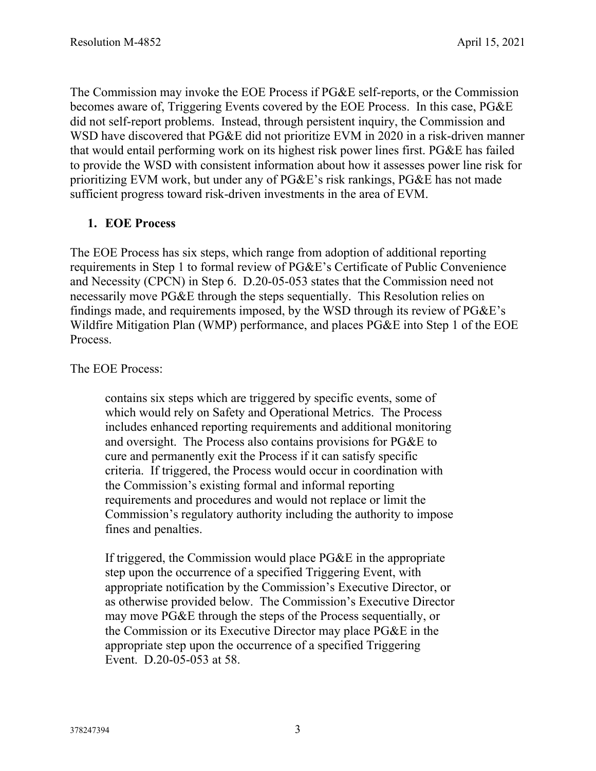The Commission may invoke the EOE Process if PG&E self-reports, or the Commission becomes aware of, Triggering Events covered by the EOE Process. In this case, PG&E did not self-report problems. Instead, through persistent inquiry, the Commission and WSD have discovered that PG&E did not prioritize EVM in 2020 in a risk-driven manner that would entail performing work on its highest risk power lines first. PG&E has failed to provide the WSD with consistent information about how it assesses power line risk for prioritizing EVM work, but under any of PG&E's risk rankings, PG&E has not made sufficient progress toward risk-driven investments in the area of EVM.

## **1. EOE Process**

The EOE Process has six steps, which range from adoption of additional reporting requirements in Step 1 to formal review of PG&E's Certificate of Public Convenience and Necessity (CPCN) in Step 6. D.20-05-053 states that the Commission need not necessarily move PG&E through the steps sequentially. This Resolution relies on findings made, and requirements imposed, by the WSD through its review of PG&E's Wildfire Mitigation Plan (WMP) performance, and places PG&E into Step 1 of the EOE Process.

The EOE Process:

contains six steps which are triggered by specific events, some of which would rely on Safety and Operational Metrics. The Process includes enhanced reporting requirements and additional monitoring and oversight. The Process also contains provisions for PG&E to cure and permanently exit the Process if it can satisfy specific criteria. If triggered, the Process would occur in coordination with the Commission's existing formal and informal reporting requirements and procedures and would not replace or limit the Commission's regulatory authority including the authority to impose fines and penalties.

If triggered, the Commission would place PG&E in the appropriate step upon the occurrence of a specified Triggering Event, with appropriate notification by the Commission's Executive Director, or as otherwise provided below. The Commission's Executive Director may move PG&E through the steps of the Process sequentially, or the Commission or its Executive Director may place PG&E in the appropriate step upon the occurrence of a specified Triggering Event. D.20-05-053 at 58.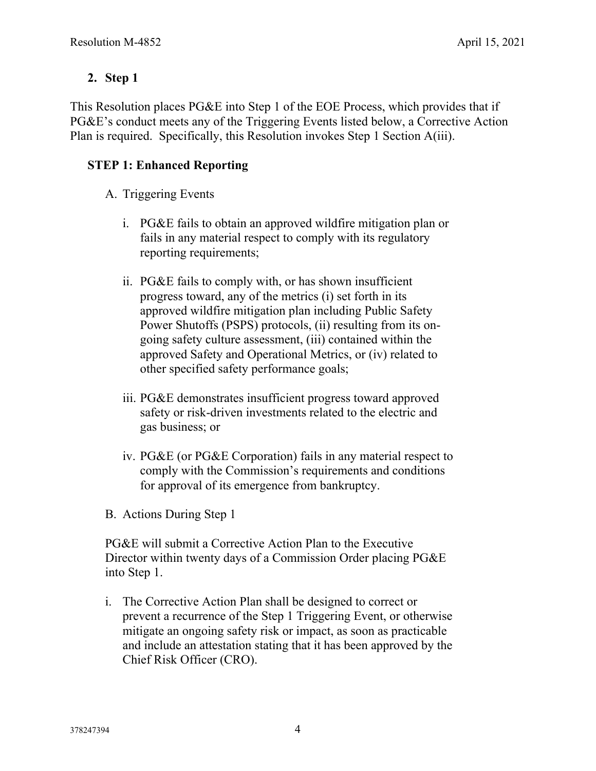## **2. Step 1**

This Resolution places PG&E into Step 1 of the EOE Process, which provides that if PG&E's conduct meets any of the Triggering Events listed below, a Corrective Action Plan is required. Specifically, this Resolution invokes Step 1 Section A(iii).

## **STEP 1: Enhanced Reporting**

- A. Triggering Events
	- i. PG&E fails to obtain an approved wildfire mitigation plan or fails in any material respect to comply with its regulatory reporting requirements;
	- ii. PG&E fails to comply with, or has shown insufficient progress toward, any of the metrics (i) set forth in its approved wildfire mitigation plan including Public Safety Power Shutoffs (PSPS) protocols, (ii) resulting from its ongoing safety culture assessment, (iii) contained within the approved Safety and Operational Metrics, or (iv) related to other specified safety performance goals;
	- iii. PG&E demonstrates insufficient progress toward approved safety or risk-driven investments related to the electric and gas business; or
	- iv. PG&E (or PG&E Corporation) fails in any material respect to comply with the Commission's requirements and conditions for approval of its emergence from bankruptcy.
- B. Actions During Step 1

PG&E will submit a Corrective Action Plan to the Executive Director within twenty days of a Commission Order placing PG&E into Step 1.

i. The Corrective Action Plan shall be designed to correct or prevent a recurrence of the Step 1 Triggering Event, or otherwise mitigate an ongoing safety risk or impact, as soon as practicable and include an attestation stating that it has been approved by the Chief Risk Officer (CRO).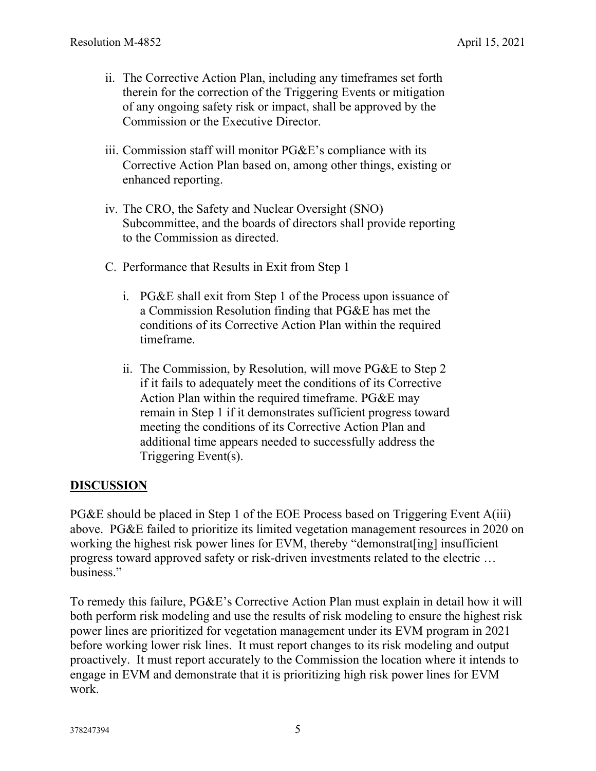- ii. The Corrective Action Plan, including any timeframes set forth therein for the correction of the Triggering Events or mitigation of any ongoing safety risk or impact, shall be approved by the Commission or the Executive Director.
- iii. Commission staff will monitor PG&E's compliance with its Corrective Action Plan based on, among other things, existing or enhanced reporting.
- iv. The CRO, the Safety and Nuclear Oversight (SNO) Subcommittee, and the boards of directors shall provide reporting to the Commission as directed.
- C. Performance that Results in Exit from Step 1
	- i. PG&E shall exit from Step 1 of the Process upon issuance of a Commission Resolution finding that PG&E has met the conditions of its Corrective Action Plan within the required timeframe.
	- ii. The Commission, by Resolution, will move PG&E to Step 2 if it fails to adequately meet the conditions of its Corrective Action Plan within the required timeframe. PG&E may remain in Step 1 if it demonstrates sufficient progress toward meeting the conditions of its Corrective Action Plan and additional time appears needed to successfully address the Triggering Event(s).

#### **DISCUSSION**

PG&E should be placed in Step 1 of the EOE Process based on Triggering Event A(iii) above. PG&E failed to prioritize its limited vegetation management resources in 2020 on working the highest risk power lines for EVM, thereby "demonstrat[ing] insufficient progress toward approved safety or risk-driven investments related to the electric … business."

To remedy this failure, PG&E's Corrective Action Plan must explain in detail how it will both perform risk modeling and use the results of risk modeling to ensure the highest risk power lines are prioritized for vegetation management under its EVM program in 2021 before working lower risk lines. It must report changes to its risk modeling and output proactively. It must report accurately to the Commission the location where it intends to engage in EVM and demonstrate that it is prioritizing high risk power lines for EVM work.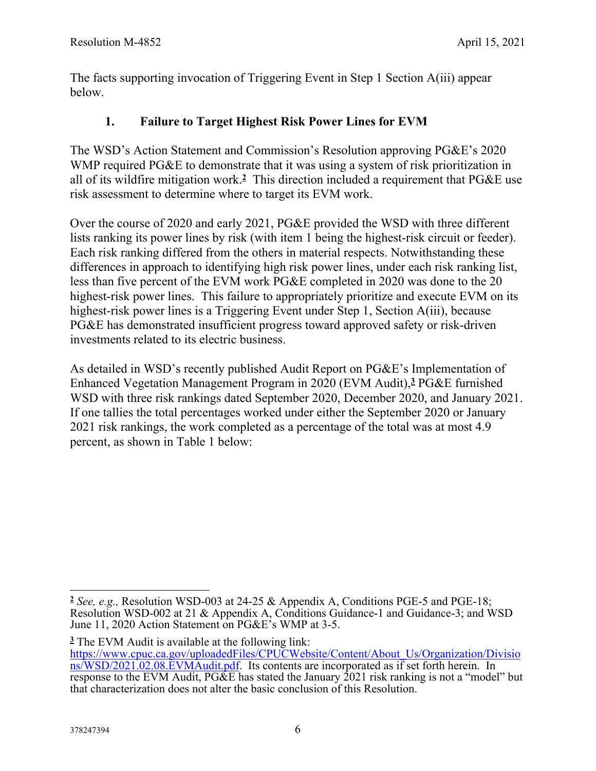The facts supporting invocation of Triggering Event in Step 1 Section A(iii) appear below.

## **1. Failure to Target Highest Risk Power Lines for EVM**

The WSD's Action Statement and Commission's Resolution approving PG&E's 2020 WMP required PG&E to demonstrate that it was using a system of risk prioritization in all of its wildfire mitigation work.**<sup>2</sup>** This direction included a requirement that PG&E use risk assessment to determine where to target its EVM work.

Over the course of 2020 and early 2021, PG&E provided the WSD with three different lists ranking its power lines by risk (with item 1 being the highest-risk circuit or feeder). Each risk ranking differed from the others in material respects. Notwithstanding these differences in approach to identifying high risk power lines, under each risk ranking list, less than five percent of the EVM work PG&E completed in 2020 was done to the 20 highest-risk power lines. This failure to appropriately prioritize and execute EVM on its highest-risk power lines is a Triggering Event under Step 1, Section A(iii), because PG&E has demonstrated insufficient progress toward approved safety or risk-driven investments related to its electric business.

As detailed in WSD's recently published Audit Report on PG&E's Implementation of Enhanced Vegetation Management Program in 2020 (EVM Audit),**<sup>3</sup>** PG&E furnished WSD with three risk rankings dated September 2020, December 2020, and January 2021. If one tallies the total percentages worked under either the September 2020 or January 2021 risk rankings, the work completed as a percentage of the total was at most 4.9 percent, as shown in Table 1 below:

**<sup>3</sup>** The EVM Audit is available at the following link: [https://www.cpuc.ca.gov/uploadedFiles/CPUCWebsite/Content/About\\_Us/Organization/Divisio](https://www.cpuc.ca.gov/uploadedFiles/CPUCWebsite/Content/About_Us/Organization/Divisions/WSD/2021.02.08.EVMAudit.pdf) [ns/WSD/2021.02.08.EVMAudit.pdf](https://www.cpuc.ca.gov/uploadedFiles/CPUCWebsite/Content/About_Us/Organization/Divisions/WSD/2021.02.08.EVMAudit.pdf). Its contents are incorporated as if set forth herein. In response to the EVM Audit, PG&E has stated the January 2021 risk ranking is not a "model" but that characterization does not alter the basic conclusion of this Resolution.

**<sup>2</sup>** *See, e.g.,* Resolution WSD-003 at 24-25 & Appendix A, Conditions PGE-5 and PGE-18; Resolution WSD-002 at 21 & Appendix A, Conditions Guidance-1 and Guidance-3; and WSD June 11, 2020 Action Statement on PG&E's WMP at 3-5.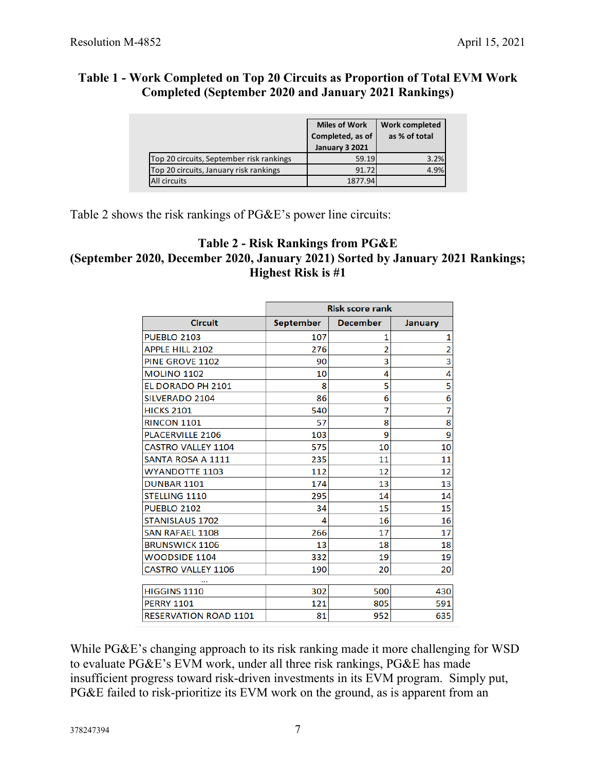#### **Table 1 - Work Completed on Top 20 Circuits as Proportion of Total EVM Work Completed (September 2020 and January 2021 Rankings)**

|                                          | <b>Miles of Work</b><br>Completed, as of<br><b>January 3 2021</b> | <b>Work completed</b><br>as % of total |
|------------------------------------------|-------------------------------------------------------------------|----------------------------------------|
| Top 20 circuits, September risk rankings | 59.19                                                             | 3.2%                                   |
| Top 20 circuits, January risk rankings   | 91.72                                                             | 4.9%                                   |
| All circuits                             | 1877.94                                                           |                                        |

Table 2 shows the risk rankings of PG&E's power line circuits:

## **Table 2 - Risk Rankings from PG&E (September 2020, December 2020, January 2021) Sorted by January 2021 Rankings; Highest Risk is #1**

|                              | <b>Risk score rank</b> |                 |                |  |
|------------------------------|------------------------|-----------------|----------------|--|
| <b>Circuit</b>               | September              | <b>December</b> | January        |  |
| <b>PUEBLO 2103</b>           | 107                    | 1               | 1              |  |
| <b>APPLE HILL 2102</b>       | 276                    | 2               | $\overline{2}$ |  |
| PINE GROVE 1102              | 90                     | 3               | 3              |  |
| <b>MOLINO 1102</b>           | 10                     | 4               | 4              |  |
| <b>EL DORADO PH 2101</b>     | 8                      | 5               | 5              |  |
| <b>SILVERADO 2104</b>        | 86                     | 6               | 6              |  |
| <b>HICKS 2101</b>            | 540                    | 7               | 7              |  |
| <b>RINCON 1101</b>           | 57                     | 8               | 8              |  |
| <b>PLACERVILLE 2106</b>      | 103                    | 9               | 9              |  |
| <b>CASTRO VALLEY 1104</b>    | 575                    | 10              | 10             |  |
| <b>SANTA ROSA A 1111</b>     | 235                    | 11              | 11             |  |
| <b>WYANDOTTE 1103</b>        | 112                    | 12              | 12             |  |
| <b>DUNBAR 1101</b>           | 174                    | 13              | 13             |  |
| <b>STELLING 1110</b>         | 295                    | 14              | 14             |  |
| <b>PUEBLO 2102</b>           | 34                     | 15              | 15             |  |
| <b>STANISLAUS 1702</b>       | 4                      | 16              | 16             |  |
| <b>SAN RAFAEL 1108</b>       | 266                    | 17              | 17             |  |
| <b>BRUNSWICK 1106</b>        | 13                     | 18              | 18             |  |
| <b>WOODSIDE 1104</b>         | 332                    | 19              | 19             |  |
| <b>CASTRO VALLEY 1106</b>    | 190                    | 20              | 20             |  |
|                              |                        |                 |                |  |
| <b>HIGGINS 1110</b>          | 302                    | 500             | 430            |  |
| <b>PERRY 1101</b>            | 121                    | 805             | 591            |  |
| <b>RESERVATION ROAD 1101</b> | 81                     | 952             | 635            |  |

While PG&E's changing approach to its risk ranking made it more challenging for WSD to evaluate PG&E's EVM work, under all three risk rankings, PG&E has made insufficient progress toward risk-driven investments in its EVM program. Simply put, PG&E failed to risk-prioritize its EVM work on the ground, as is apparent from an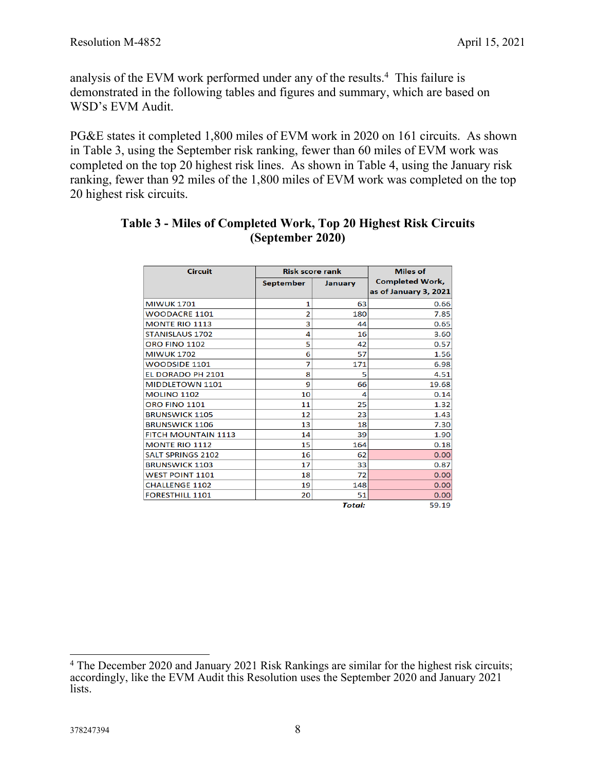analysis of the EVM work performed under any of the results.<sup>4</sup> This failure is demonstrated in the following tables and figures and summary, which are based on WSD's EVM Audit.

PG&E states it completed 1,800 miles of EVM work in 2020 on 161 circuits. As shown in Table 3, using the September risk ranking, fewer than 60 miles of EVM work was completed on the top 20 highest risk lines. As shown in Table 4, using the January risk ranking, fewer than 92 miles of the 1,800 miles of EVM work was completed on the top 20 highest risk circuits.

| <b>Circuit</b>             | <b>Risk score rank</b> |                | <b>Miles of</b>        |
|----------------------------|------------------------|----------------|------------------------|
|                            | <b>September</b>       | <b>January</b> | <b>Completed Work,</b> |
|                            |                        |                | as of January 3, 2021  |
| <b>MIWUK 1701</b>          | 1                      | 63             | 0.66                   |
| <b>WOODACRE 1101</b>       | $\overline{2}$         | 180            | 7.85                   |
| <b>MONTE RIO 1113</b>      | 3                      | 44             | 0.65                   |
| <b>STANISLAUS 1702</b>     | 4                      | 16             | 3.60                   |
| <b>ORO FINO 1102</b>       | 5                      | 42             | 0.57                   |
| <b>MIWUK 1702</b>          | 6                      | 57             | 1.56                   |
| <b>WOODSIDE 1101</b>       | 7                      | 171            | 6.98                   |
| EL DORADO PH 2101          | 8                      | 5              | 4.51                   |
| MIDDLETOWN 1101            | 9                      | 66             | 19.68                  |
| <b>MOLINO 1102</b>         | 10                     | 4              | 0.14                   |
| <b>ORO FINO 1101</b>       | 11                     | 25             | 1.32                   |
| <b>BRUNSWICK 1105</b>      | 12                     | 23             | 1.43                   |
| <b>BRUNSWICK 1106</b>      | 13                     | 18             | 7.30                   |
| <b>FITCH MOUNTAIN 1113</b> | 14                     | 39             | 1.90                   |
| <b>MONTE RIO 1112</b>      | 15                     | 164            | 0.18                   |
| <b>SALT SPRINGS 2102</b>   | 16                     | 62             | 0.00                   |
| <b>BRUNSWICK 1103</b>      | 17                     | 33             | 0.87                   |
| <b>WEST POINT 1101</b>     | 18                     | 72             | 0.00                   |
| <b>CHALLENGE 1102</b>      | 19                     | 148            | 0.00                   |
| <b>FORESTHILL 1101</b>     | 20 <sup>1</sup>        | 51             | 0.00                   |
|                            |                        | <b>Total:</b>  | 59.19                  |

#### **Table 3 - Miles of Completed Work, Top 20 Highest Risk Circuits (September 2020)**

<sup>4</sup> The December 2020 and January 2021 Risk Rankings are similar for the highest risk circuits; accordingly, like the EVM Audit this Resolution uses the September 2020 and January 2021 lists.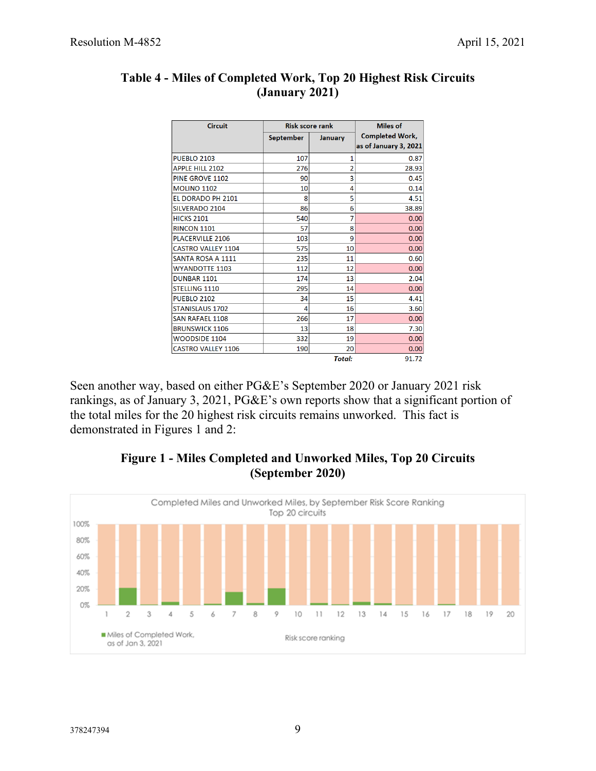| <b>Circuit</b>            | <b>Risk score rank</b> |                | <b>Miles of</b>                                 |
|---------------------------|------------------------|----------------|-------------------------------------------------|
|                           | September              | January        | <b>Completed Work,</b><br>as of January 3, 2021 |
|                           |                        |                |                                                 |
| <b>PUEBLO 2103</b>        | 107                    | 1              | 0.87                                            |
| <b>APPLE HILL 2102</b>    | 276                    | $\overline{2}$ | 28.93                                           |
| <b>PINE GROVE 1102</b>    | 90                     | 3              | 0.45                                            |
| <b>MOLINO 1102</b>        | 10                     | 4              | 0.14                                            |
| EL DORADO PH 2101         | 8                      | 5              | 4.51                                            |
| <b>SILVERADO 2104</b>     | 86                     | 6              | 38.89                                           |
| <b>HICKS 2101</b>         | 540                    | 7              | 0.00                                            |
| <b>RINCON 1101</b>        | 57                     | 8              | 0.00                                            |
| <b>PLACERVILLE 2106</b>   | 103                    | 9              | 0.00                                            |
| <b>CASTRO VALLEY 1104</b> | 575                    | 10             | 0.00                                            |
| <b>SANTA ROSA A 1111</b>  | 235                    | 11             | 0.60                                            |
| <b>WYANDOTTE 1103</b>     | 112                    | 12             | 0.00                                            |
| <b>DUNBAR 1101</b>        | 174                    | 13             | 2.04                                            |
| STELLING 1110             | 295                    | 14             | 0.00                                            |
| <b>PUEBLO 2102</b>        | 34                     | 15             | 4.41                                            |
| <b>STANISLAUS 1702</b>    | 4                      | 16             | 3.60                                            |
| <b>SAN RAFAEL 1108</b>    | 266                    | 17             | 0.00                                            |
| <b>BRUNSWICK 1106</b>     | 13                     | 18             | 7.30                                            |
| <b>WOODSIDE 1104</b>      | 332                    | 19             | 0.00                                            |
| <b>CASTRO VALLEY 1106</b> | 190                    | 20             | 0.00                                            |
|                           |                        | Total:         | 91.72                                           |

## **Table 4 - Miles of Completed Work, Top 20 Highest Risk Circuits (January 2021)**

Seen another way, based on either PG&E's September 2020 or January 2021 risk rankings, as of January 3, 2021, PG&E's own reports show that a significant portion of the total miles for the 20 highest risk circuits remains unworked. This fact is demonstrated in Figures 1 and 2:

## **Figure 1 - Miles Completed and Unworked Miles, Top 20 Circuits (September 2020)**

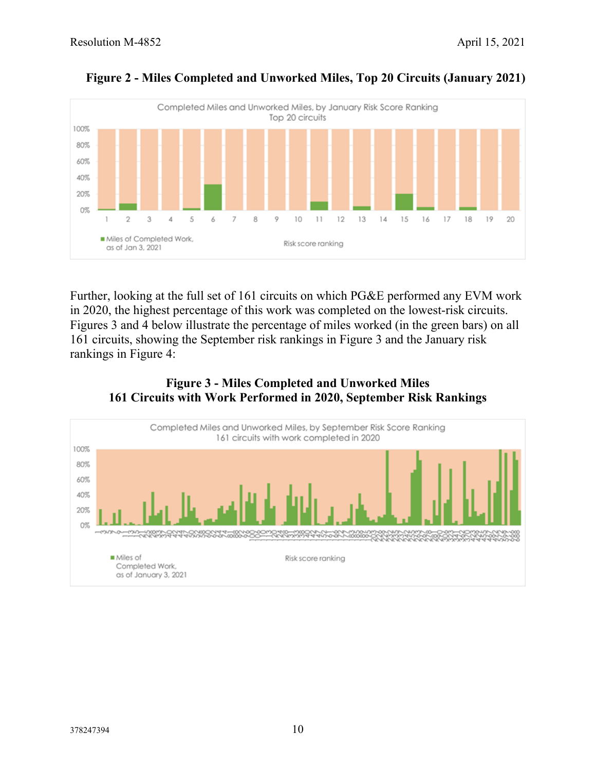

# **Figure 2 - Miles Completed and Unworked Miles, Top 20 Circuits (January 2021)**

Further, looking at the full set of 161 circuits on which PG&E performed any EVM work in 2020, the highest percentage of this work was completed on the lowest-risk circuits. Figures 3 and 4 below illustrate the percentage of miles worked (in the green bars) on all 161 circuits, showing the September risk rankings in Figure 3 and the January risk rankings in Figure 4:



#### **Figure 3 - Miles Completed and Unworked Miles 161 Circuits with Work Performed in 2020, September Risk Rankings**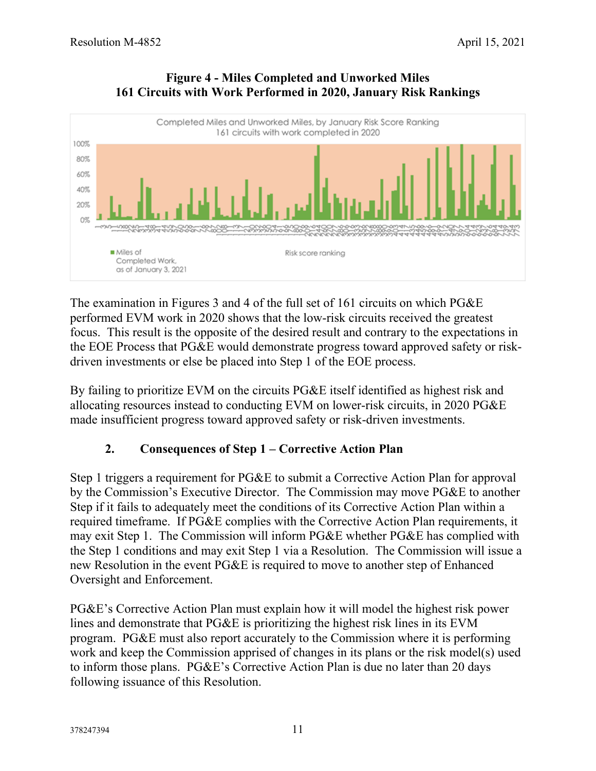



The examination in Figures 3 and 4 of the full set of 161 circuits on which PG&E performed EVM work in 2020 shows that the low-risk circuits received the greatest focus. This result is the opposite of the desired result and contrary to the expectations in the EOE Process that PG&E would demonstrate progress toward approved safety or riskdriven investments or else be placed into Step 1 of the EOE process.

By failing to prioritize EVM on the circuits PG&E itself identified as highest risk and allocating resources instead to conducting EVM on lower-risk circuits, in 2020 PG&E made insufficient progress toward approved safety or risk-driven investments.

## **2. Consequences of Step 1 – Corrective Action Plan**

Step 1 triggers a requirement for PG&E to submit a Corrective Action Plan for approval by the Commission's Executive Director. The Commission may move PG&E to another Step if it fails to adequately meet the conditions of its Corrective Action Plan within a required timeframe. If PG&E complies with the Corrective Action Plan requirements, it may exit Step 1. The Commission will inform PG&E whether PG&E has complied with the Step 1 conditions and may exit Step 1 via a Resolution. The Commission will issue a new Resolution in the event PG&E is required to move to another step of Enhanced Oversight and Enforcement.

PG&E's Corrective Action Plan must explain how it will model the highest risk power lines and demonstrate that PG&E is prioritizing the highest risk lines in its EVM program. PG&E must also report accurately to the Commission where it is performing work and keep the Commission apprised of changes in its plans or the risk model(s) used to inform those plans. PG&E's Corrective Action Plan is due no later than 20 days following issuance of this Resolution.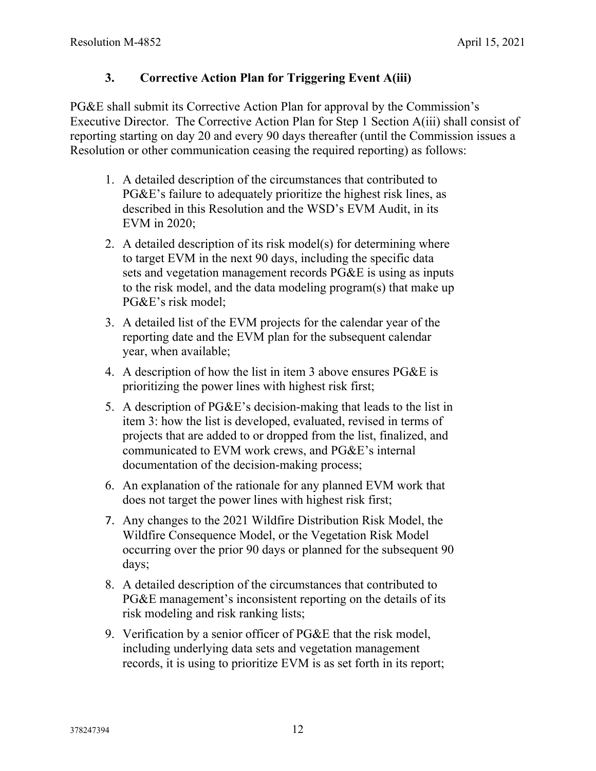## **3. Corrective Action Plan for Triggering Event A(iii)**

PG&E shall submit its Corrective Action Plan for approval by the Commission's Executive Director. The Corrective Action Plan for Step 1 Section A(iii) shall consist of reporting starting on day 20 and every 90 days thereafter (until the Commission issues a Resolution or other communication ceasing the required reporting) as follows:

- 1. A detailed description of the circumstances that contributed to PG&E's failure to adequately prioritize the highest risk lines, as described in this Resolution and the WSD's EVM Audit, in its EVM in 2020;
- 2. A detailed description of its risk model(s) for determining where to target EVM in the next 90 days, including the specific data sets and vegetation management records PG&E is using as inputs to the risk model, and the data modeling program(s) that make up PG&E's risk model;
- 3. A detailed list of the EVM projects for the calendar year of the reporting date and the EVM plan for the subsequent calendar year, when available;
- 4. A description of how the list in item 3 above ensures PG&E is prioritizing the power lines with highest risk first;
- 5. A description of PG&E's decision-making that leads to the list in item 3: how the list is developed, evaluated, revised in terms of projects that are added to or dropped from the list, finalized, and communicated to EVM work crews, and PG&E's internal documentation of the decision-making process;
- 6. An explanation of the rationale for any planned EVM work that does not target the power lines with highest risk first;
- 7. Any changes to the 2021 Wildfire Distribution Risk Model, the Wildfire Consequence Model, or the Vegetation Risk Model occurring over the prior 90 days or planned for the subsequent 90 days;
- 8. A detailed description of the circumstances that contributed to PG&E management's inconsistent reporting on the details of its risk modeling and risk ranking lists;
- 9. Verification by a senior officer of PG&E that the risk model, including underlying data sets and vegetation management records, it is using to prioritize EVM is as set forth in its report;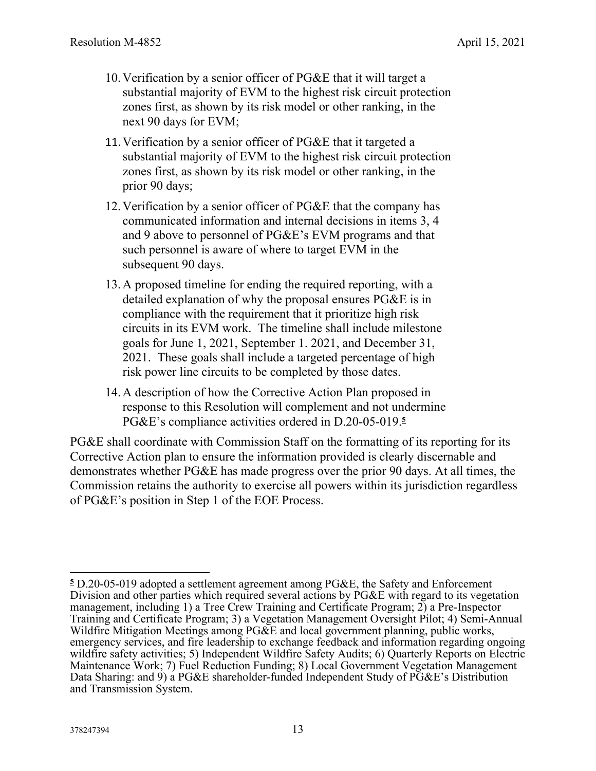- 10.Verification by a senior officer of PG&E that it will target a substantial majority of EVM to the highest risk circuit protection zones first, as shown by its risk model or other ranking, in the next 90 days for EVM;
- 11.Verification by a senior officer of PG&E that it targeted a substantial majority of EVM to the highest risk circuit protection zones first, as shown by its risk model or other ranking, in the prior 90 days;
- 12.Verification by a senior officer of PG&E that the company has communicated information and internal decisions in items 3, 4 and 9 above to personnel of PG&E's EVM programs and that such personnel is aware of where to target EVM in the subsequent 90 days.
- 13.A proposed timeline for ending the required reporting, with a detailed explanation of why the proposal ensures PG&E is in compliance with the requirement that it prioritize high risk circuits in its EVM work. The timeline shall include milestone goals for June 1, 2021, September 1. 2021, and December 31, 2021. These goals shall include a targeted percentage of high risk power line circuits to be completed by those dates.
- 14.A description of how the Corrective Action Plan proposed in response to this Resolution will complement and not undermine PG&E's compliance activities ordered in D.20-05-019.**<sup>5</sup>**

PG&E shall coordinate with Commission Staff on the formatting of its reporting for its Corrective Action plan to ensure the information provided is clearly discernable and demonstrates whether PG&E has made progress over the prior 90 days. At all times, the Commission retains the authority to exercise all powers within its jurisdiction regardless of PG&E's position in Step 1 of the EOE Process.

**<sup>5</sup>** D.20-05-019 adopted a settlement agreement among PG&E, the Safety and Enforcement Division and other parties which required several actions by PG&E with regard to its vegetation management, including 1) a Tree Crew Training and Certificate Program; 2) a Pre-Inspector Training and Certificate Program; 3) a Vegetation Management Oversight Pilot; 4) Semi-Annual Wildfire Mitigation Meetings among PG&E and local government planning, public works, emergency services, and fire leadership to exchange feedback and information regarding ongoing wildfire safety activities; 5) Independent Wildfire Safety Audits; 6) Quarterly Reports on Electric Maintenance Work; 7) Fuel Reduction Funding; 8) Local Government Vegetation Management Data Sharing: and 9) a PG&E shareholder-funded Independent Study of PG&E's Distribution and Transmission System.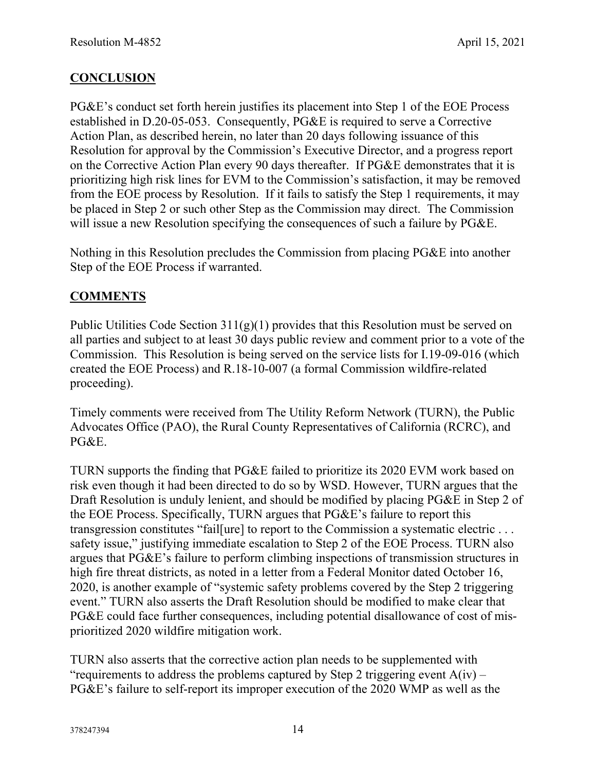## **CONCLUSION**

PG&E's conduct set forth herein justifies its placement into Step 1 of the EOE Process established in D.20-05-053. Consequently, PG&E is required to serve a Corrective Action Plan, as described herein, no later than 20 days following issuance of this Resolution for approval by the Commission's Executive Director, and a progress report on the Corrective Action Plan every 90 days thereafter. If PG&E demonstrates that it is prioritizing high risk lines for EVM to the Commission's satisfaction, it may be removed from the EOE process by Resolution. If it fails to satisfy the Step 1 requirements, it may be placed in Step 2 or such other Step as the Commission may direct. The Commission will issue a new Resolution specifying the consequences of such a failure by PG&E.

Nothing in this Resolution precludes the Commission from placing PG&E into another Step of the EOE Process if warranted.

## **COMMENTS**

Public Utilities Code Section  $311(g)(1)$  provides that this Resolution must be served on all parties and subject to at least 30 days public review and comment prior to a vote of the Commission. This Resolution is being served on the service lists for I.19-09-016 (which created the EOE Process) and R.18-10-007 (a formal Commission wildfire-related proceeding).

Timely comments were received from The Utility Reform Network (TURN), the Public Advocates Office (PAO), the Rural County Representatives of California (RCRC), and PG&E.

TURN supports the finding that PG&E failed to prioritize its 2020 EVM work based on risk even though it had been directed to do so by WSD. However, TURN argues that the Draft Resolution is unduly lenient, and should be modified by placing PG&E in Step 2 of the EOE Process. Specifically, TURN argues that PG&E's failure to report this transgression constitutes "fail[ure] to report to the Commission a systematic electric . . . safety issue," justifying immediate escalation to Step 2 of the EOE Process. TURN also argues that PG&E's failure to perform climbing inspections of transmission structures in high fire threat districts, as noted in a letter from a Federal Monitor dated October 16, 2020, is another example of "systemic safety problems covered by the Step 2 triggering event." TURN also asserts the Draft Resolution should be modified to make clear that PG&E could face further consequences, including potential disallowance of cost of misprioritized 2020 wildfire mitigation work.

TURN also asserts that the corrective action plan needs to be supplemented with "requirements to address the problems captured by Step 2 triggering event  $A(iv)$  – PG&E's failure to self-report its improper execution of the 2020 WMP as well as the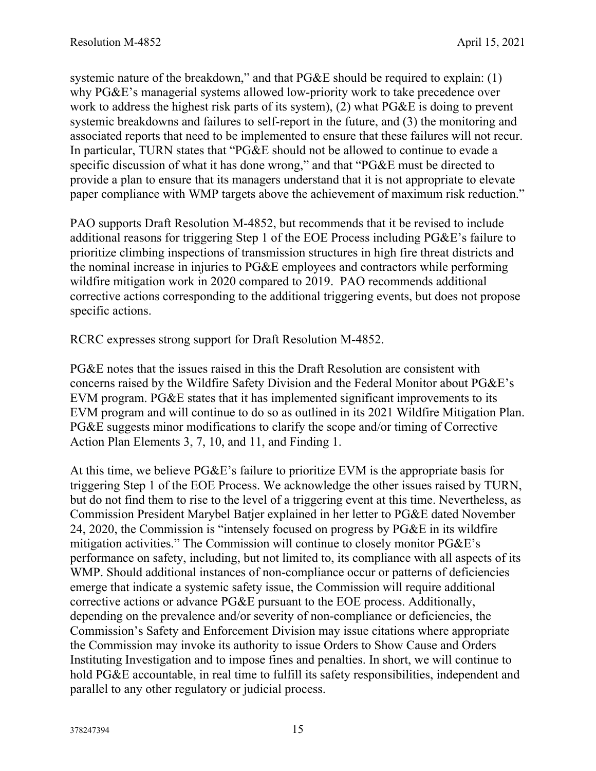systemic nature of the breakdown," and that PG&E should be required to explain: (1) why PG&E's managerial systems allowed low-priority work to take precedence over work to address the highest risk parts of its system), (2) what PG&E is doing to prevent systemic breakdowns and failures to self-report in the future, and (3) the monitoring and associated reports that need to be implemented to ensure that these failures will not recur. In particular, TURN states that "PG&E should not be allowed to continue to evade a specific discussion of what it has done wrong," and that "PG&E must be directed to provide a plan to ensure that its managers understand that it is not appropriate to elevate paper compliance with WMP targets above the achievement of maximum risk reduction."

PAO supports Draft Resolution M-4852, but recommends that it be revised to include additional reasons for triggering Step 1 of the EOE Process including PG&E's failure to prioritize climbing inspections of transmission structures in high fire threat districts and the nominal increase in injuries to PG&E employees and contractors while performing wildfire mitigation work in 2020 compared to 2019. PAO recommends additional corrective actions corresponding to the additional triggering events, but does not propose specific actions.

RCRC expresses strong support for Draft Resolution M-4852.

PG&E notes that the issues raised in this the Draft Resolution are consistent with concerns raised by the Wildfire Safety Division and the Federal Monitor about PG&E's EVM program. PG&E states that it has implemented significant improvements to its EVM program and will continue to do so as outlined in its 2021 Wildfire Mitigation Plan. PG&E suggests minor modifications to clarify the scope and/or timing of Corrective Action Plan Elements 3, 7, 10, and 11, and Finding 1.

At this time, we believe PG&E's failure to prioritize EVM is the appropriate basis for triggering Step 1 of the EOE Process. We acknowledge the other issues raised by TURN, but do not find them to rise to the level of a triggering event at this time. Nevertheless, as Commission President Marybel Batjer explained in her letter to PG&E dated November 24, 2020, the Commission is "intensely focused on progress by PG&E in its wildfire mitigation activities." The Commission will continue to closely monitor PG&E's performance on safety, including, but not limited to, its compliance with all aspects of its WMP. Should additional instances of non-compliance occur or patterns of deficiencies emerge that indicate a systemic safety issue, the Commission will require additional corrective actions or advance PG&E pursuant to the EOE process. Additionally, depending on the prevalence and/or severity of non-compliance or deficiencies, the Commission's Safety and Enforcement Division may issue citations where appropriate the Commission may invoke its authority to issue Orders to Show Cause and Orders Instituting Investigation and to impose fines and penalties. In short, we will continue to hold PG&E accountable, in real time to fulfill its safety responsibilities, independent and parallel to any other regulatory or judicial process.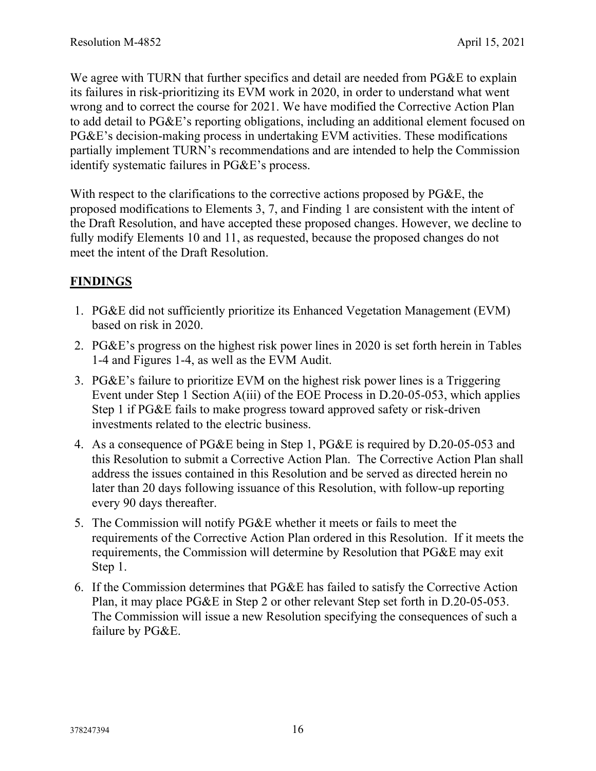We agree with TURN that further specifics and detail are needed from PG&E to explain its failures in risk-prioritizing its EVM work in 2020, in order to understand what went wrong and to correct the course for 2021. We have modified the Corrective Action Plan to add detail to PG&E's reporting obligations, including an additional element focused on PG&E's decision-making process in undertaking EVM activities. These modifications partially implement TURN's recommendations and are intended to help the Commission identify systematic failures in PG&E's process.

With respect to the clarifications to the corrective actions proposed by PG&E, the proposed modifications to Elements 3, 7, and Finding 1 are consistent with the intent of the Draft Resolution, and have accepted these proposed changes. However, we decline to fully modify Elements 10 and 11, as requested, because the proposed changes do not meet the intent of the Draft Resolution.

# **FINDINGS**

- 1. PG&E did not sufficiently prioritize its Enhanced Vegetation Management (EVM) based on risk in 2020.
- 2. PG&E's progress on the highest risk power lines in 2020 is set forth herein in Tables 1-4 and Figures 1-4, as well as the EVM Audit.
- 3. PG&E's failure to prioritize EVM on the highest risk power lines is a Triggering Event under Step 1 Section A(iii) of the EOE Process in D.20-05-053, which applies Step 1 if PG&E fails to make progress toward approved safety or risk-driven investments related to the electric business.
- 4. As a consequence of PG&E being in Step 1, PG&E is required by D.20-05-053 and this Resolution to submit a Corrective Action Plan. The Corrective Action Plan shall address the issues contained in this Resolution and be served as directed herein no later than 20 days following issuance of this Resolution, with follow-up reporting every 90 days thereafter.
- 5. The Commission will notify PG&E whether it meets or fails to meet the requirements of the Corrective Action Plan ordered in this Resolution. If it meets the requirements, the Commission will determine by Resolution that PG&E may exit Step 1.
- 6. If the Commission determines that PG&E has failed to satisfy the Corrective Action Plan, it may place PG&E in Step 2 or other relevant Step set forth in D.20-05-053. The Commission will issue a new Resolution specifying the consequences of such a failure by PG&E.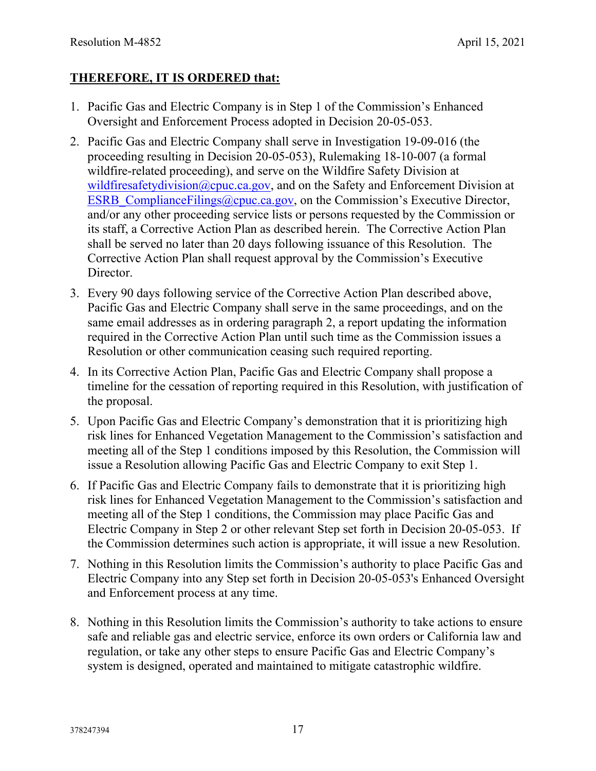## **THEREFORE, IT IS ORDERED that:**

- 1. Pacific Gas and Electric Company is in Step 1 of the Commission's Enhanced Oversight and Enforcement Process adopted in Decision 20-05-053.
- 2. Pacific Gas and Electric Company shall serve in Investigation 19-09-016 (the proceeding resulting in Decision 20-05-053), Rulemaking 18-10-007 (a formal wildfire-related proceeding), and serve on the Wildfire Safety Division at [wildfiresafetydivision@cpuc.ca.gov](mailto:wildfiresafetydivision@cpuc.ca.gov), and on the Safety and Enforcement Division at ESRB ComplianceFilings@cpuc.ca.gov, on the Commission's Executive Director, and/or any other proceeding service lists or persons requested by the Commission or its staff, a Corrective Action Plan as described herein. The Corrective Action Plan shall be served no later than 20 days following issuance of this Resolution. The Corrective Action Plan shall request approval by the Commission's Executive Director.
- 3. Every 90 days following service of the Corrective Action Plan described above, Pacific Gas and Electric Company shall serve in the same proceedings, and on the same email addresses as in ordering paragraph 2, a report updating the information required in the Corrective Action Plan until such time as the Commission issues a Resolution or other communication ceasing such required reporting.
- 4. In its Corrective Action Plan, Pacific Gas and Electric Company shall propose a timeline for the cessation of reporting required in this Resolution, with justification of the proposal.
- 5. Upon Pacific Gas and Electric Company's demonstration that it is prioritizing high risk lines for Enhanced Vegetation Management to the Commission's satisfaction and meeting all of the Step 1 conditions imposed by this Resolution, the Commission will issue a Resolution allowing Pacific Gas and Electric Company to exit Step 1.
- 6. If Pacific Gas and Electric Company fails to demonstrate that it is prioritizing high risk lines for Enhanced Vegetation Management to the Commission's satisfaction and meeting all of the Step 1 conditions, the Commission may place Pacific Gas and Electric Company in Step 2 or other relevant Step set forth in Decision 20-05-053. If the Commission determines such action is appropriate, it will issue a new Resolution.
- 7. Nothing in this Resolution limits the Commission's authority to place Pacific Gas and Electric Company into any Step set forth in Decision 20-05-053's Enhanced Oversight and Enforcement process at any time.
- 8. Nothing in this Resolution limits the Commission's authority to take actions to ensure safe and reliable gas and electric service, enforce its own orders or California law and regulation, or take any other steps to ensure Pacific Gas and Electric Company's system is designed, operated and maintained to mitigate catastrophic wildfire.